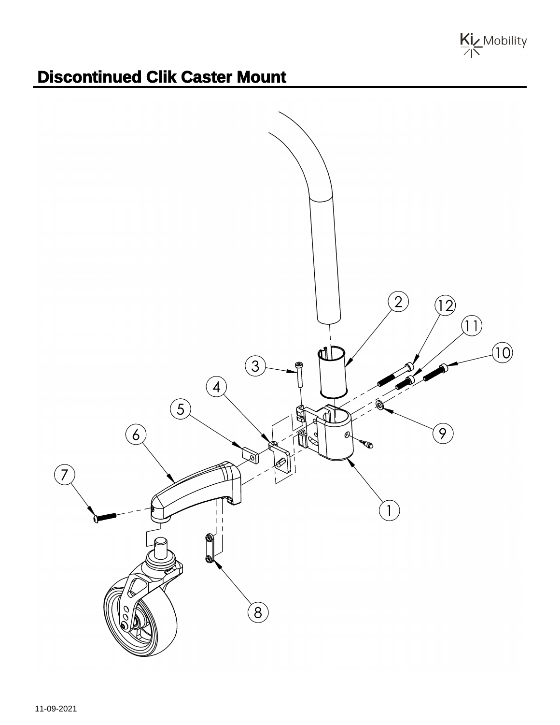

## **Discontinued Clik Caster Mount**